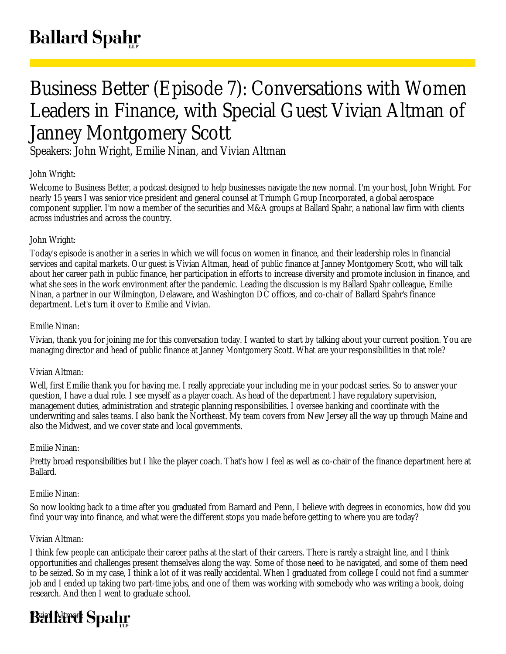# Business Better (Episode 7): Conversations with Women Leaders in Finance, with Special Guest Vivian Altman of Janney Montgomery Scott

Speakers: John Wright, Emilie Ninan, and Vivian Altman

# John Wright:

Welcome to Business Better, a podcast designed to help businesses navigate the new normal. I'm your host, John Wright. For nearly 15 years I was senior vice president and general counsel at Triumph Group Incorporated, a global aerospace component supplier. I'm now a member of the securities and M&A groups at Ballard Spahr, a national law firm with clients across industries and across the country.

# John Wright:

Today's episode is another in a series in which we will focus on women in finance, and their leadership roles in financial services and capital markets. Our guest is Vivian Altman, head of public finance at Janney Montgomery Scott, who will talk about her career path in public finance, her participation in efforts to increase diversity and promote inclusion in finance, and what she sees in the work environment after the pandemic. Leading the discussion is my Ballard Spahr colleague, Emilie Ninan, a partner in our Wilmington, Delaware, and Washington DC offices, and co-chair of Ballard Spahr's finance department. Let's turn it over to Emilie and Vivian.

## Emilie Ninan:

Vivian, thank you for joining me for this conversation today. I wanted to start by talking about your current position. You are managing director and head of public finance at Janney Montgomery Scott. What are your responsibilities in that role?

## Vivian Altman:

Well, first Emilie thank you for having me. I really appreciate your including me in your podcast series. So to answer your question, I have a dual role. I see myself as a player coach. As head of the department I have regulatory supervision, management duties, administration and strategic planning responsibilities. I oversee banking and coordinate with the underwriting and sales teams. I also bank the Northeast. My team covers from New Jersey all the way up through Maine and also the Midwest, and we cover state and local governments.

# Emilie Ninan:

Pretty broad responsibilities but I like the player coach. That's how I feel as well as co-chair of the finance department here at Ballard.

## Emilie Ninan:

So now looking back to a time after you graduated from Barnard and Penn, I believe with degrees in economics, how did you find your way into finance, and what were the different stops you made before getting to where you are today?

## Vivian Altman:

I think few people can anticipate their career paths at the start of their careers. There is rarely a straight line, and I think opportunities and challenges present themselves along the way. Some of those need to be navigated, and some of them need to be seized. So in my case, I think a lot of it was really accidental. When I graduated from college I could not find a summer job and I ended up taking two part-time jobs, and one of them was working with somebody who was writing a book, doing research. And then I went to graduate school.

# **Ballard Spahr**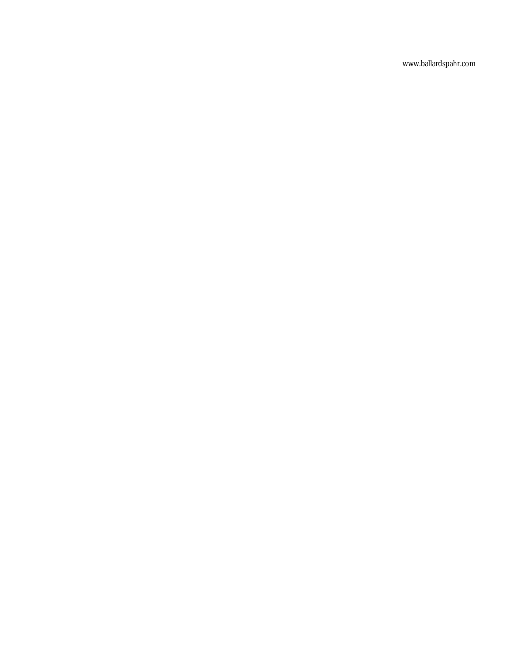www.ballardspahr.com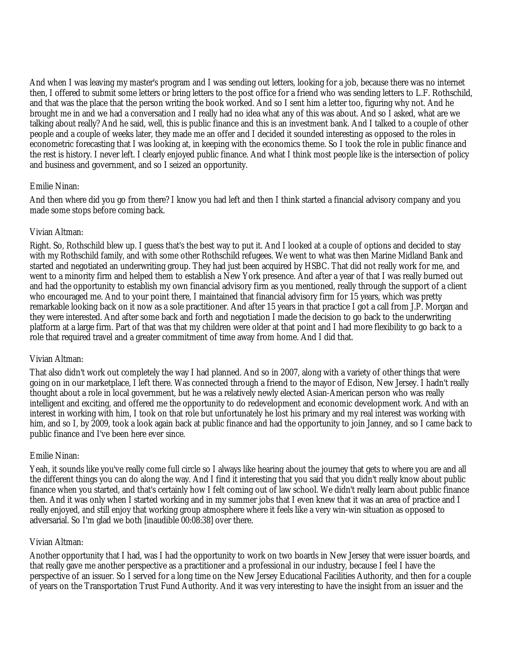And when I was leaving my master's program and I was sending out letters, looking for a job, because there was no internet then, I offered to submit some letters or bring letters to the post office for a friend who was sending letters to L.F. Rothschild, and that was the place that the person writing the book worked. And so I sent him a letter too, figuring why not. And he brought me in and we had a conversation and I really had no idea what any of this was about. And so I asked, what are we talking about really? And he said, well, this is public finance and this is an investment bank. And I talked to a couple of other people and a couple of weeks later, they made me an offer and I decided it sounded interesting as opposed to the roles in econometric forecasting that I was looking at, in keeping with the economics theme. So I took the role in public finance and the rest is history. I never left. I clearly enjoyed public finance. And what I think most people like is the intersection of policy and business and government, and so I seized an opportunity.

#### Emilie Ninan:

And then where did you go from there? I know you had left and then I think started a financial advisory company and you made some stops before coming back.

## Vivian Altman:

Right. So, Rothschild blew up. I guess that's the best way to put it. And I looked at a couple of options and decided to stay with my Rothschild family, and with some other Rothschild refugees. We went to what was then Marine Midland Bank and started and negotiated an underwriting group. They had just been acquired by HSBC. That did not really work for me, and went to a minority firm and helped them to establish a New York presence. And after a year of that I was really burned out and had the opportunity to establish my own financial advisory firm as you mentioned, really through the support of a client who encouraged me. And to your point there, I maintained that financial advisory firm for 15 years, which was pretty remarkable looking back on it now as a sole practitioner. And after 15 years in that practice I got a call from J.P. Morgan and they were interested. And after some back and forth and negotiation I made the decision to go back to the underwriting platform at a large firm. Part of that was that my children were older at that point and I had more flexibility to go back to a role that required travel and a greater commitment of time away from home. And I did that.

#### Vivian Altman:

That also didn't work out completely the way I had planned. And so in 2007, along with a variety of other things that were going on in our marketplace, I left there. Was connected through a friend to the mayor of Edison, New Jersey. I hadn't really thought about a role in local government, but he was a relatively newly elected Asian-American person who was really intelligent and exciting, and offered me the opportunity to do redevelopment and economic development work. And with an interest in working with him, I took on that role but unfortunately he lost his primary and my real interest was working with him, and so I, by 2009, took a look again back at public finance and had the opportunity to join Janney, and so I came back to public finance and I've been here ever since.

#### Emilie Ninan:

Yeah, it sounds like you've really come full circle so I always like hearing about the journey that gets to where you are and all the different things you can do along the way. And I find it interesting that you said that you didn't really know about public finance when you started, and that's certainly how I felt coming out of law school. We didn't really learn about public finance then. And it was only when I started working and in my summer jobs that I even knew that it was an area of practice and I really enjoyed, and still enjoy that working group atmosphere where it feels like a very win-win situation as opposed to adversarial. So I'm glad we both [inaudible 00:08:38] over there.

#### Vivian Altman:

Another opportunity that I had, was I had the opportunity to work on two boards in New Jersey that were issuer boards, and that really gave me another perspective as a practitioner and a professional in our industry, because I feel I have the perspective of an issuer. So I served for a long time on the New Jersey Educational Facilities Authority, and then for a couple of years on the Transportation Trust Fund Authority. And it was very interesting to have the insight from an issuer and the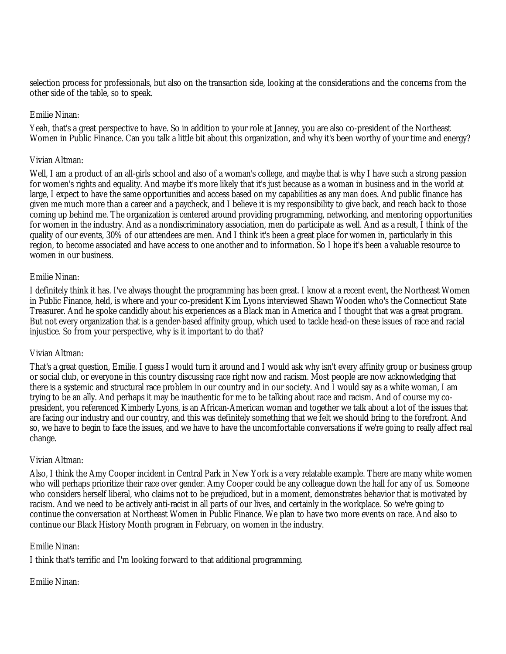selection process for professionals, but also on the transaction side, looking at the considerations and the concerns from the other side of the table, so to speak.

#### Emilie Ninan:

Yeah, that's a great perspective to have. So in addition to your role at Janney, you are also co-president of the Northeast Women in Public Finance. Can you talk a little bit about this organization, and why it's been worthy of your time and energy?

#### Vivian Altman:

Well, I am a product of an all-girls school and also of a woman's college, and maybe that is why I have such a strong passion for women's rights and equality. And maybe it's more likely that it's just because as a woman in business and in the world at large, I expect to have the same opportunities and access based on my capabilities as any man does. And public finance has given me much more than a career and a paycheck, and I believe it is my responsibility to give back, and reach back to those coming up behind me. The organization is centered around providing programming, networking, and mentoring opportunities for women in the industry. And as a nondiscriminatory association, men do participate as well. And as a result, I think of the quality of our events, 30% of our attendees are men. And I think it's been a great place for women in, particularly in this region, to become associated and have access to one another and to information. So I hope it's been a valuable resource to women in our business.

#### Emilie Ninan:

I definitely think it has. I've always thought the programming has been great. I know at a recent event, the Northeast Women in Public Finance, held, is where and your co-president Kim Lyons interviewed Shawn Wooden who's the Connecticut State Treasurer. And he spoke candidly about his experiences as a Black man in America and I thought that was a great program. But not every organization that is a gender-based affinity group, which used to tackle head-on these issues of race and racial injustice. So from your perspective, why is it important to do that?

#### Vivian Altman:

That's a great question, Emilie. I guess I would turn it around and I would ask why isn't every affinity group or business group or social club, or everyone in this country discussing race right now and racism. Most people are now acknowledging that there is a systemic and structural race problem in our country and in our society. And I would say as a white woman, I am trying to be an ally. And perhaps it may be inauthentic for me to be talking about race and racism. And of course my copresident, you referenced Kimberly Lyons, is an African-American woman and together we talk about a lot of the issues that are facing our industry and our country, and this was definitely something that we felt we should bring to the forefront. And so, we have to begin to face the issues, and we have to have the uncomfortable conversations if we're going to really affect real change.

#### Vivian Altman:

Also, I think the Amy Cooper incident in Central Park in New York is a very relatable example. There are many white women who will perhaps prioritize their race over gender. Amy Cooper could be any colleague down the hall for any of us. Someone who considers herself liberal, who claims not to be prejudiced, but in a moment, demonstrates behavior that is motivated by racism. And we need to be actively anti-racist in all parts of our lives, and certainly in the workplace. So we're going to continue the conversation at Northeast Women in Public Finance. We plan to have two more events on race. And also to continue our Black History Month program in February, on women in the industry.

#### Emilie Ninan:

I think that's terrific and I'm looking forward to that additional programming.

### Emilie Ninan: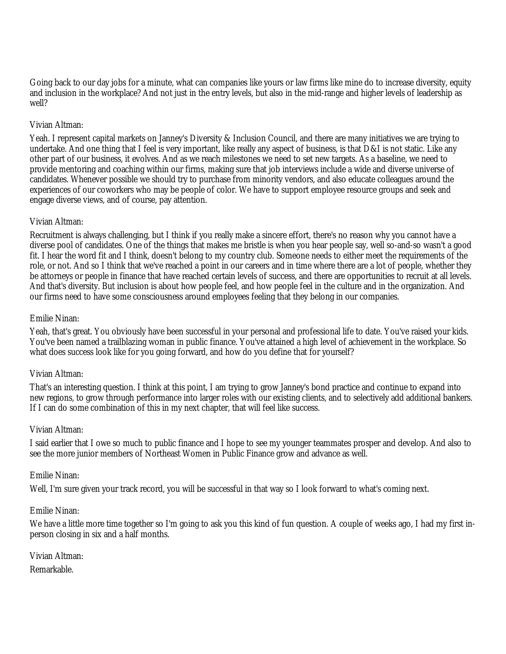Going back to our day jobs for a minute, what can companies like yours or law firms like mine do to increase diversity, equity and inclusion in the workplace? And not just in the entry levels, but also in the mid-range and higher levels of leadership as well?

#### Vivian Altman:

Yeah. I represent capital markets on Janney's Diversity & Inclusion Council, and there are many initiatives we are trying to undertake. And one thing that I feel is very important, like really any aspect of business, is that D&I is not static. Like any other part of our business, it evolves. And as we reach milestones we need to set new targets. As a baseline, we need to provide mentoring and coaching within our firms, making sure that job interviews include a wide and diverse universe of candidates. Whenever possible we should try to purchase from minority vendors, and also educate colleagues around the experiences of our coworkers who may be people of color. We have to support employee resource groups and seek and engage diverse views, and of course, pay attention.

## Vivian Altman:

Recruitment is always challenging, but I think if you really make a sincere effort, there's no reason why you cannot have a diverse pool of candidates. One of the things that makes me bristle is when you hear people say, well so-and-so wasn't a good fit. I hear the word fit and I think, doesn't belong to my country club. Someone needs to either meet the requirements of the role, or not. And so I think that we've reached a point in our careers and in time where there are a lot of people, whether they be attorneys or people in finance that have reached certain levels of success, and there are opportunities to recruit at all levels. And that's diversity. But inclusion is about how people feel, and how people feel in the culture and in the organization. And our firms need to have some consciousness around employees feeling that they belong in our companies.

#### Emilie Ninan:

Yeah, that's great. You obviously have been successful in your personal and professional life to date. You've raised your kids. You've been named a trailblazing woman in public finance. You've attained a high level of achievement in the workplace. So what does success look like for you going forward, and how do you define that for yourself?

#### Vivian Altman:

That's an interesting question. I think at this point, I am trying to grow Janney's bond practice and continue to expand into new regions, to grow through performance into larger roles with our existing clients, and to selectively add additional bankers. If I can do some combination of this in my next chapter, that will feel like success.

#### Vivian Altman:

I said earlier that I owe so much to public finance and I hope to see my younger teammates prosper and develop. And also to see the more junior members of Northeast Women in Public Finance grow and advance as well.

#### Emilie Ninan:

Well, I'm sure given your track record, you will be successful in that way so I look forward to what's coming next.

#### Emilie Ninan:

We have a little more time together so I'm going to ask you this kind of fun question. A couple of weeks ago, I had my first inperson closing in six and a half months.

Vivian Altman:

Remarkable.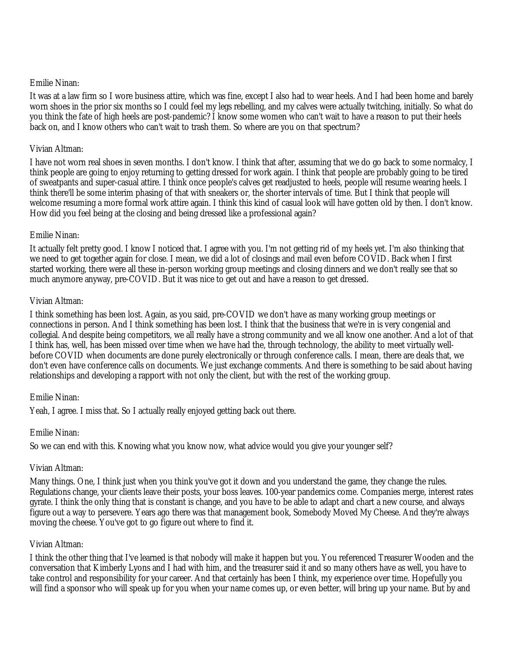#### Emilie Ninan:

It was at a law firm so I wore business attire, which was fine, except I also had to wear heels. And I had been home and barely worn shoes in the prior six months so I could feel my legs rebelling, and my calves were actually twitching, initially. So what do you think the fate of high heels are post-pandemic? I know some women who can't wait to have a reason to put their heels back on, and I know others who can't wait to trash them. So where are you on that spectrum?

#### Vivian Altman:

I have not worn real shoes in seven months. I don't know. I think that after, assuming that we do go back to some normalcy, I think people are going to enjoy returning to getting dressed for work again. I think that people are probably going to be tired of sweatpants and super-casual attire. I think once people's calves get readjusted to heels, people will resume wearing heels. I think there'll be some interim phasing of that with sneakers or, the shorter intervals of time. But I think that people will welcome resuming a more formal work attire again. I think this kind of casual look will have gotten old by then. I don't know. How did you feel being at the closing and being dressed like a professional again?

#### Emilie Ninan:

It actually felt pretty good. I know I noticed that. I agree with you. I'm not getting rid of my heels yet. I'm also thinking that we need to get together again for close. I mean, we did a lot of closings and mail even before COVID. Back when I first started working, there were all these in-person working group meetings and closing dinners and we don't really see that so much anymore anyway, pre-COVID. But it was nice to get out and have a reason to get dressed.

#### Vivian Altman:

I think something has been lost. Again, as you said, pre-COVID we don't have as many working group meetings or connections in person. And I think something has been lost. I think that the business that we're in is very congenial and collegial. And despite being competitors, we all really have a strong community and we all know one another. And a lot of that I think has, well, has been missed over time when we have had the, through technology, the ability to meet virtually wellbefore COVID when documents are done purely electronically or through conference calls. I mean, there are deals that, we don't even have conference calls on documents. We just exchange comments. And there is something to be said about having relationships and developing a rapport with not only the client, but with the rest of the working group.

#### Emilie Ninan:

Yeah, I agree. I miss that. So I actually really enjoyed getting back out there.

#### Emilie Ninan:

So we can end with this. Knowing what you know now, what advice would you give your younger self?

#### Vivian Altman:

Many things. One, I think just when you think you've got it down and you understand the game, they change the rules. Regulations change, your clients leave their posts, your boss leaves. 100-year pandemics come. Companies merge, interest rates gyrate. I think the only thing that is constant is change, and you have to be able to adapt and chart a new course, and always figure out a way to persevere. Years ago there was that management book, Somebody Moved My Cheese. And they're always moving the cheese. You've got to go figure out where to find it.

#### Vivian Altman:

I think the other thing that I've learned is that nobody will make it happen but you. You referenced Treasurer Wooden and the conversation that Kimberly Lyons and I had with him, and the treasurer said it and so many others have as well, you have to take control and responsibility for your career. And that certainly has been I think, my experience over time. Hopefully you will find a sponsor who will speak up for you when your name comes up, or even better, will bring up your name. But by and